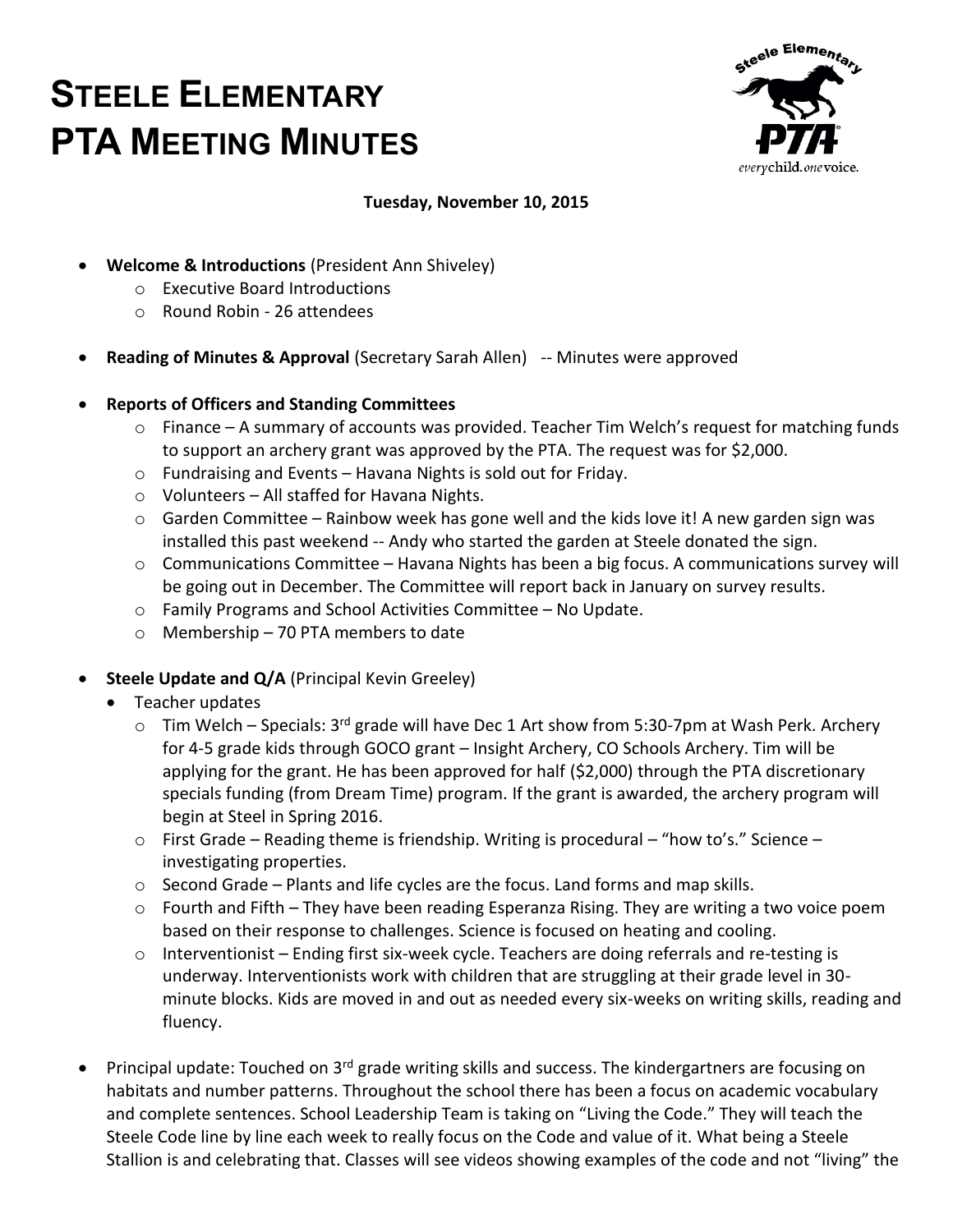# **STEELE ELEMENTARY PTA MEETING MINUTES**



## **Tuesday, November 10, 2015**

- **Welcome & Introductions** (President Ann Shiveley)
	- o Executive Board Introductions
	- o Round Robin 26 attendees
- **Reading of Minutes & Approval** (Secretary Sarah Allen) -- Minutes were approved
- **Reports of Officers and Standing Committees** 
	- o Finance A summary of accounts was provided. Teacher Tim Welch's request for matching funds to support an archery grant was approved by the PTA. The request was for \$2,000.
	- o Fundraising and Events Havana Nights is sold out for Friday.
	- o Volunteers All staffed for Havana Nights.
	- o Garden Committee Rainbow week has gone well and the kids love it! A new garden sign was installed this past weekend -- Andy who started the garden at Steele donated the sign.
	- o Communications Committee Havana Nights has been a big focus. A communications survey will be going out in December. The Committee will report back in January on survey results.
	- o Family Programs and School Activities Committee No Update.
	- o Membership 70 PTA members to date
- **Steele Update and Q/A** (Principal Kevin Greeley)
	- Teacher updates
		- $\circ$  Tim Welch Specials: 3<sup>rd</sup> grade will have Dec 1 Art show from 5:30-7pm at Wash Perk. Archery for 4-5 grade kids through GOCO grant – Insight Archery, CO Schools Archery. Tim will be applying for the grant. He has been approved for half (\$2,000) through the PTA discretionary specials funding (from Dream Time) program. If the grant is awarded, the archery program will begin at Steel in Spring 2016.
		- $\circ$  First Grade Reading theme is friendship. Writing is procedural "how to's." Science investigating properties.
		- $\circ$  Second Grade Plants and life cycles are the focus. Land forms and map skills.
		- o Fourth and Fifth They have been reading Esperanza Rising. They are writing a two voice poem based on their response to challenges. Science is focused on heating and cooling.
		- $\circ$  Interventionist Ending first six-week cycle. Teachers are doing referrals and re-testing is underway. Interventionists work with children that are struggling at their grade level in 30 minute blocks. Kids are moved in and out as needed every six-weeks on writing skills, reading and fluency.
- Principal update: Touched on 3<sup>rd</sup> grade writing skills and success. The kindergartners are focusing on habitats and number patterns. Throughout the school there has been a focus on academic vocabulary and complete sentences. School Leadership Team is taking on "Living the Code." They will teach the Steele Code line by line each week to really focus on the Code and value of it. What being a Steele Stallion is and celebrating that. Classes will see videos showing examples of the code and not "living" the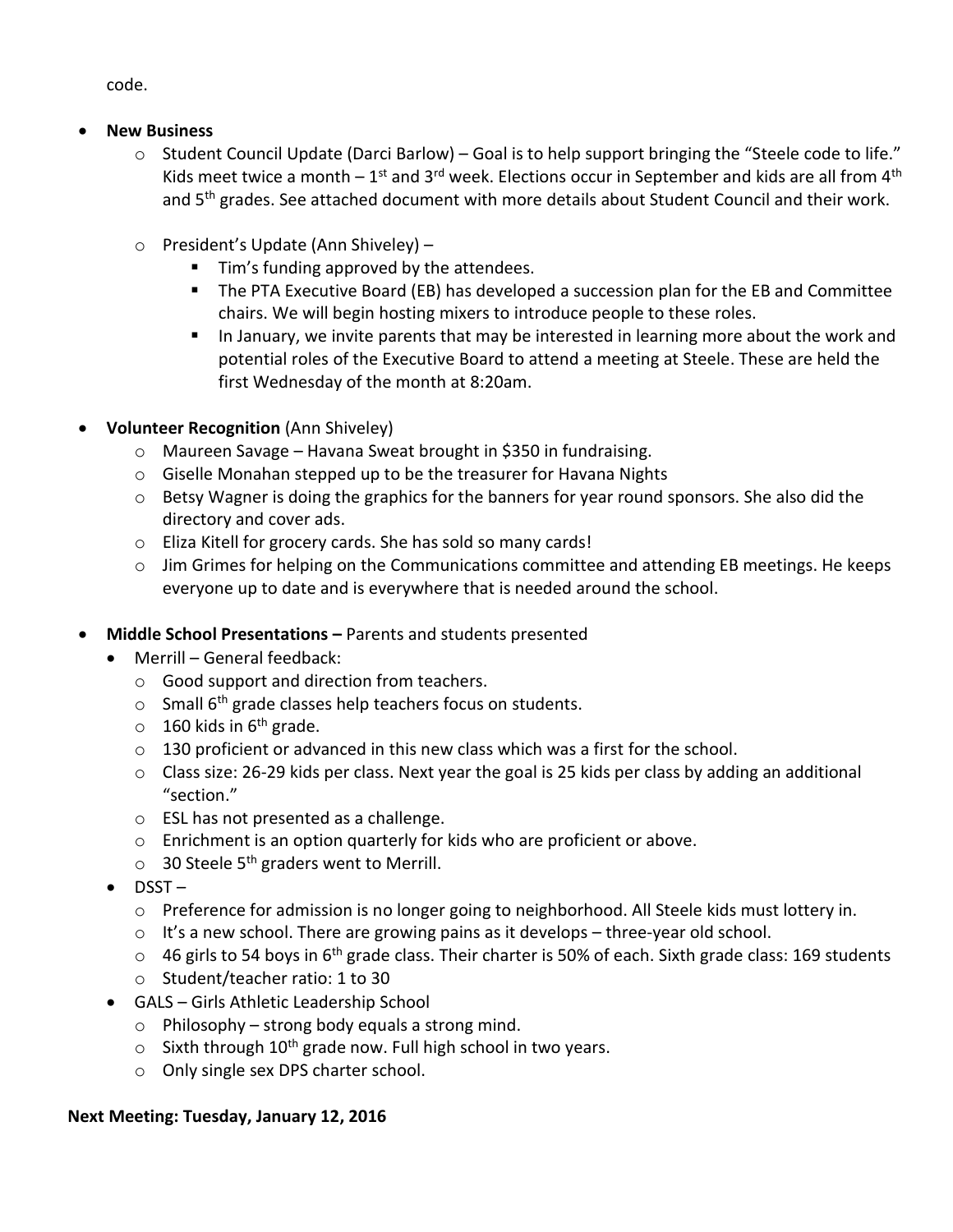code.

- **New Business** 
	- o Student Council Update (Darci Barlow) Goal is to help support bringing the "Steele code to life." Kids meet twice a month  $-1^{\text{st}}$  and 3<sup>rd</sup> week. Elections occur in September and kids are all from 4<sup>th</sup> and 5<sup>th</sup> grades. See attached document with more details about Student Council and their work.
	- o President's Update (Ann Shiveley)
		- **Tim's funding approved by the attendees.**
		- **The PTA Executive Board (EB) has developed a succession plan for the EB and Committee** chairs. We will begin hosting mixers to introduce people to these roles.
		- In January, we invite parents that may be interested in learning more about the work and potential roles of the Executive Board to attend a meeting at Steele. These are held the first Wednesday of the month at 8:20am.
- **Volunteer Recognition** (Ann Shiveley)
	- o Maureen Savage Havana Sweat brought in \$350 in fundraising.
	- o Giselle Monahan stepped up to be the treasurer for Havana Nights
	- $\circ$  Betsy Wagner is doing the graphics for the banners for year round sponsors. She also did the directory and cover ads.
	- o Eliza Kitell for grocery cards. She has sold so many cards!
	- $\circ$  Jim Grimes for helping on the Communications committee and attending EB meetings. He keeps everyone up to date and is everywhere that is needed around the school.
- **Middle School Presentations –** Parents and students presented
	- Merrill General feedback:
		- o Good support and direction from teachers.
		- $\circ$  Small 6<sup>th</sup> grade classes help teachers focus on students.
		- $\circ$  160 kids in 6<sup>th</sup> grade.
		- $\circ$  130 proficient or advanced in this new class which was a first for the school.
		- $\circ$  Class size: 26-29 kids per class. Next year the goal is 25 kids per class by adding an additional "section."
		- o ESL has not presented as a challenge.
		- o Enrichment is an option quarterly for kids who are proficient or above.
		- $\circ$  30 Steele 5<sup>th</sup> graders went to Merrill.
	- $\bullet$  DSST
		- o Preference for admission is no longer going to neighborhood. All Steele kids must lottery in.
		- $\circ$  It's a new school. There are growing pains as it develops three-year old school.
		- $\circ$  46 girls to 54 boys in 6<sup>th</sup> grade class. Their charter is 50% of each. Sixth grade class: 169 students
		- o Student/teacher ratio: 1 to 30
	- GALS Girls Athletic Leadership School
		- $\circ$  Philosophy strong body equals a strong mind.
		- $\circ$  Sixth through 10<sup>th</sup> grade now. Full high school in two years.
		- o Only single sex DPS charter school.

## **Next Meeting: Tuesday, January 12, 2016**